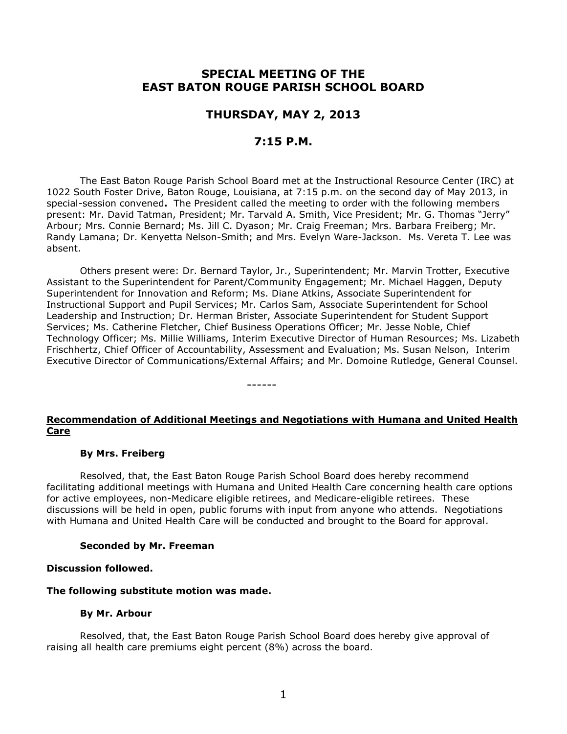# **SPECIAL MEETING OF THE EAST BATON ROUGE PARISH SCHOOL BOARD**

## **THURSDAY, MAY 2, 2013**

## **7:15 P.M.**

The East Baton Rouge Parish School Board met at the Instructional Resource Center (IRC) at 1022 South Foster Drive, Baton Rouge, Louisiana, at 7:15 p.m. on the second day of May 2013, in special-session convened**.** The President called the meeting to order with the following members present: Mr. David Tatman, President; Mr. Tarvald A. Smith, Vice President; Mr. G. Thomas "Jerry" Arbour; Mrs. Connie Bernard; Ms. Jill C. Dyason; Mr. Craig Freeman; Mrs. Barbara Freiberg; Mr. Randy Lamana; Dr. Kenyetta Nelson-Smith; and Mrs. Evelyn Ware-Jackson. Ms. Vereta T. Lee was absent.

Others present were: Dr. Bernard Taylor, Jr., Superintendent; Mr. Marvin Trotter, Executive Assistant to the Superintendent for Parent/Community Engagement; Mr. Michael Haggen, Deputy Superintendent for Innovation and Reform; Ms. Diane Atkins, Associate Superintendent for Instructional Support and Pupil Services; Mr. Carlos Sam, Associate Superintendent for School Leadership and Instruction; Dr. Herman Brister, Associate Superintendent for Student Support Services; Ms. Catherine Fletcher, Chief Business Operations Officer; Mr. Jesse Noble, Chief Technology Officer; Ms. Millie Williams, Interim Executive Director of Human Resources; Ms. Lizabeth Frischhertz, Chief Officer of Accountability, Assessment and Evaluation; Ms. Susan Nelson, Interim Executive Director of Communications/External Affairs; and Mr. Domoine Rutledge, General Counsel.

**Recommendation of Additional Meetings and Negotiations with Humana and United Health Care**

------

#### **By Mrs. Freiberg**

Resolved, that, the East Baton Rouge Parish School Board does hereby recommend facilitating additional meetings with Humana and United Health Care concerning health care options for active employees, non-Medicare eligible retirees, and Medicare-eligible retirees. These discussions will be held in open, public forums with input from anyone who attends. Negotiations with Humana and United Health Care will be conducted and brought to the Board for approval.

#### **Seconded by Mr. Freeman**

#### **Discussion followed.**

#### **The following substitute motion was made.**

#### **By Mr. Arbour**

Resolved, that, the East Baton Rouge Parish School Board does hereby give approval of raising all health care premiums eight percent (8%) across the board.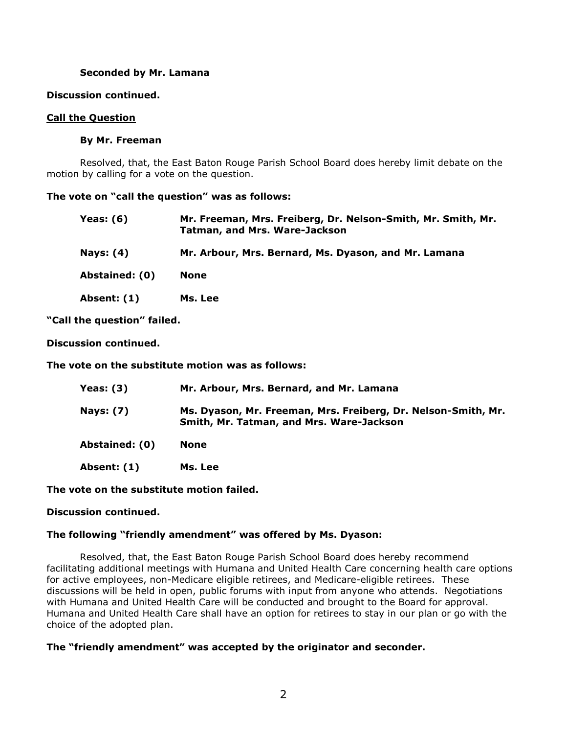### **Seconded by Mr. Lamana**

### **Discussion continued.**

### **Call the Question**

### **By Mr. Freeman**

Resolved, that, the East Baton Rouge Parish School Board does hereby limit debate on the motion by calling for a vote on the question.

### **The vote on "call the question" was as follows:**

| Yeas: $(6)$      | Mr. Freeman, Mrs. Freiberg, Dr. Nelson-Smith, Mr. Smith, Mr.<br><b>Tatman, and Mrs. Ware-Jackson</b> |
|------------------|------------------------------------------------------------------------------------------------------|
| <b>Nays: (4)</b> | Mr. Arbour, Mrs. Bernard, Ms. Dyason, and Mr. Lamana                                                 |
| Abstained: (0)   | <b>None</b>                                                                                          |
| Absent: (1)      | Ms. Lee                                                                                              |

**"Call the question" failed.**

**Discussion continued.**

**The vote on the substitute motion was as follows:**

| Yeas: $(3)$      | Mr. Arbour, Mrs. Bernard, and Mr. Lamana                                                                  |
|------------------|-----------------------------------------------------------------------------------------------------------|
| <b>Nays: (7)</b> | Ms. Dyason, Mr. Freeman, Mrs. Freiberg, Dr. Nelson-Smith, Mr.<br>Smith, Mr. Tatman, and Mrs. Ware-Jackson |
| Abstained: (0)   | None                                                                                                      |
| Absent: (1)      | Ms. Lee                                                                                                   |

**The vote on the substitute motion failed.**

### **Discussion continued.**

### **The following "friendly amendment" was offered by Ms. Dyason:**

Resolved, that, the East Baton Rouge Parish School Board does hereby recommend facilitating additional meetings with Humana and United Health Care concerning health care options for active employees, non-Medicare eligible retirees, and Medicare-eligible retirees. These discussions will be held in open, public forums with input from anyone who attends. Negotiations with Humana and United Health Care will be conducted and brought to the Board for approval. Humana and United Health Care shall have an option for retirees to stay in our plan or go with the choice of the adopted plan.

## **The "friendly amendment" was accepted by the originator and seconder.**